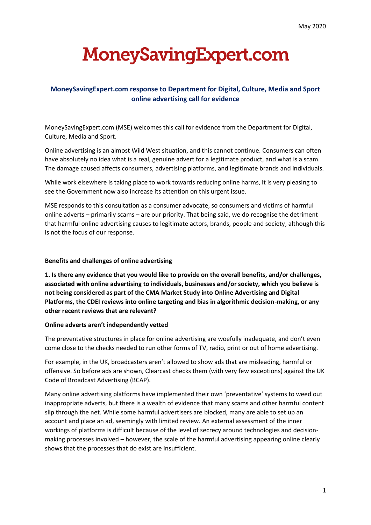# **MoneySavingExpert.com**

## **MoneySavingExpert.com response to Department for Digital, Culture, Media and Sport online advertising call for evidence**

MoneySavingExpert.com (MSE) welcomes this call for evidence from the Department for Digital, Culture, Media and Sport.

Online advertising is an almost Wild West situation, and this cannot continue. Consumers can often have absolutely no idea what is a real, genuine advert for a legitimate product, and what is a scam. The damage caused affects consumers, advertising platforms, and legitimate brands and individuals.

While work elsewhere is taking place to work towards reducing online harms, it is very pleasing to see the Government now also increase its attention on this urgent issue.

MSE responds to this consultation as a consumer advocate, so consumers and victims of harmful online adverts – primarily scams – are our priority. That being said, we do recognise the detriment that harmful online advertising causes to legitimate actors, brands, people and society, although this is not the focus of our response.

#### **Benefits and challenges of online advertising**

**1. Is there any evidence that you would like to provide on the overall benefits, and/or challenges, associated with online advertising to individuals, businesses and/or society, which you believe is not being considered as part of the CMA Market Study into Online Advertising and Digital Platforms, the CDEI reviews into online targeting and bias in algorithmic decision-making, or any other recent reviews that are relevant?**

#### **Online adverts aren't independently vetted**

The preventative structures in place for online advertising are woefully inadequate, and don't even come close to the checks needed to run other forms of TV, radio, print or out of home advertising.

For example, in the UK, broadcasters aren't allowed to show ads that are misleading, harmful or offensive. So before ads are shown, Clearcast checks them (with very few exceptions) against the UK Code of Broadcast Advertising (BCAP).

Many online advertising platforms have implemented their own 'preventative' systems to weed out inappropriate adverts, but there is a wealth of evidence that many scams and other harmful content slip through the net. While some harmful advertisers are blocked, many are able to set up an account and place an ad, seemingly with limited review. An external assessment of the inner workings of platforms is difficult because of the level of secrecy around technologies and decisionmaking processes involved – however, the scale of the harmful advertising appearing online clearly shows that the processes that do exist are insufficient.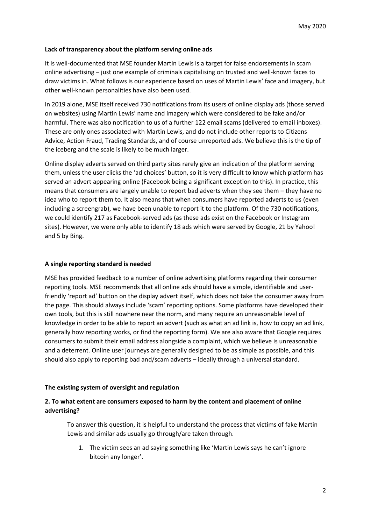#### **Lack of transparency about the platform serving online ads**

It is well-documented that MSE founder Martin Lewis is a target for false endorsements in scam online advertising – just one example of criminals capitalising on trusted and well-known faces to draw victims in. What follows is our experience based on uses of Martin Lewis' face and imagery, but other well-known personalities have also been used.

In 2019 alone, MSE itself received 730 notifications from its users of online display ads (those served on websites) using Martin Lewis' name and imagery which were considered to be fake and/or harmful. There was also notification to us of a further 122 email scams (delivered to email inboxes). These are only ones associated with Martin Lewis, and do not include other reports to Citizens Advice, Action Fraud, Trading Standards, and of course unreported ads. We believe this is the tip of the iceberg and the scale is likely to be much larger.

Online display adverts served on third party sites rarely give an indication of the platform serving them, unless the user clicks the 'ad choices' button, so it is very difficult to know which platform has served an advert appearing online (Facebook being a significant exception to this). In practice, this means that consumers are largely unable to report bad adverts when they see them – they have no idea who to report them to. It also means that when consumers have reported adverts to us (even including a screengrab), we have been unable to report it to the platform. Of the 730 notifications, we could identify 217 as Facebook-served ads (as these ads exist on the Facebook or Instagram sites). However, we were only able to identify 18 ads which were served by Google, 21 by Yahoo! and 5 by Bing.

#### **A single reporting standard is needed**

MSE has provided feedback to a number of online advertising platforms regarding their consumer reporting tools. MSE recommends that all online ads should have a simple, identifiable and userfriendly 'report ad' button on the display advert itself, which does not take the consumer away from the page. This should always include 'scam' reporting options. Some platforms have developed their own tools, but this is still nowhere near the norm, and many require an unreasonable level of knowledge in order to be able to report an advert (such as what an ad link is, how to copy an ad link, generally how reporting works, or find the reporting form). We are also aware that Google requires consumers to submit their email address alongside a complaint, which we believe is unreasonable and a deterrent. Online user journeys are generally designed to be as simple as possible, and this should also apply to reporting bad and/scam adverts – ideally through a universal standard.

#### **The existing system of oversight and regulation**

### **2. To what extent are consumers exposed to harm by the content and placement of online advertising?**

To answer this question, it is helpful to understand the process that victims of fake Martin Lewis and similar ads usually go through/are taken through.

1. The victim sees an ad saying something like 'Martin Lewis says he can't ignore bitcoin any longer'.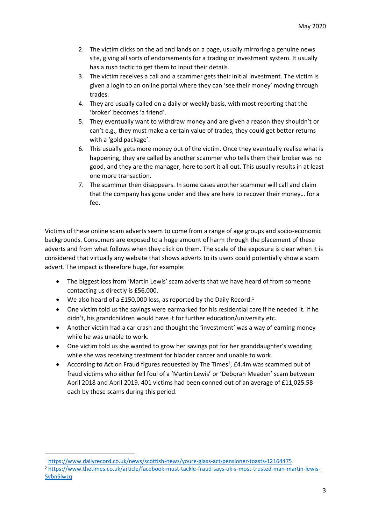- 2. The victim clicks on the ad and lands on a page, usually mirroring a genuine news site, giving all sorts of endorsements for a trading or investment system. It usually has a rush tactic to get them to input their details.
- 3. The victim receives a call and a scammer gets their initial investment. The victim is given a login to an online portal where they can 'see their money' moving through trades.
- 4. They are usually called on a daily or weekly basis, with most reporting that the 'broker' becomes 'a friend'.
- 5. They eventually want to withdraw money and are given a reason they shouldn't or can't e.g., they must make a certain value of trades, they could get better returns with a 'gold package'.
- 6. This usually gets more money out of the victim. Once they eventually realise what is happening, they are called by another scammer who tells them their broker was no good, and they are the manager, here to sort it all out. This usually results in at least one more transaction.
- 7. The scammer then disappears. In some cases another scammer will call and claim that the company has gone under and they are here to recover their money… for a fee.

Victims of these online scam adverts seem to come from a range of age groups and socio-economic backgrounds. Consumers are exposed to a huge amount of harm through the placement of these adverts and from what follows when they click on them. The scale of the exposure is clear when it is considered that virtually any website that shows adverts to its users could potentially show a scam advert. The impact is therefore huge, for example:

- The biggest loss from 'Martin Lewis' scam adverts that we have heard of from someone contacting us directly is £56,000.
- $\bullet$  We also heard of a £150,000 loss, as reported by the Daily Record.<sup>1</sup>
- One victim told us the savings were earmarked for his residential care if he needed it. If he didn't, his grandchildren would have it for further education/university etc.
- Another victim had a car crash and thought the 'investment' was a way of earning money while he was unable to work.
- One victim told us she wanted to grow her savings pot for her granddaughter's wedding while she was receiving treatment for bladder cancer and unable to work.
- According to Action Fraud figures requested by The Times<sup>2</sup>, £4.4m was scammed out of fraud victims who either fell foul of a 'Martin Lewis' or 'Deborah Meaden' scam between April 2018 and April 2019. 401 victims had been conned out of an average of £11,025.58 each by these scams during this period.

<sup>1</sup> <https://www.dailyrecord.co.uk/news/scottish-news/youre-glass-act-pensioner-toasts-12164475>

<sup>2</sup> [https://www.thetimes.co.uk/article/facebook-must-tackle-fraud-says-uk-s-most-trusted-man-martin-lewis-](https://www.thetimes.co.uk/article/facebook-must-tackle-fraud-says-uk-s-most-trusted-man-martin-lewis-5vbn5lwzq)[5vbn5lwzq](https://www.thetimes.co.uk/article/facebook-must-tackle-fraud-says-uk-s-most-trusted-man-martin-lewis-5vbn5lwzq)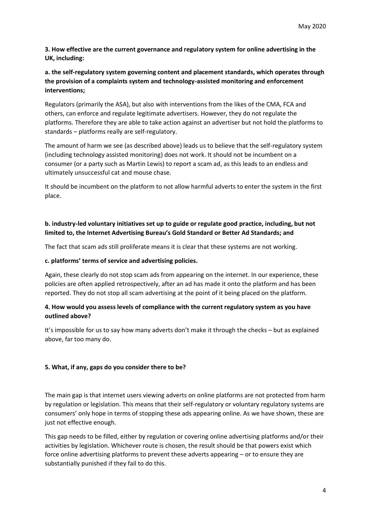**3. How effective are the current governance and regulatory system for online advertising in the UK, including:**

## **a. the self-regulatory system governing content and placement standards, which operates through the provision of a complaints system and technology-assisted monitoring and enforcement interventions;**

Regulators (primarily the ASA), but also with interventions from the likes of the CMA, FCA and others, can enforce and regulate legitimate advertisers. However, they do not regulate the platforms. Therefore they are able to take action against an advertiser but not hold the platforms to standards – platforms really are self-regulatory.

The amount of harm we see (as described above) leads us to believe that the self-regulatory system (including technology assisted monitoring) does not work. It should not be incumbent on a consumer (or a party such as Martin Lewis) to report a scam ad, as this leads to an endless and ultimately unsuccessful cat and mouse chase.

It should be incumbent on the platform to not allow harmful adverts to enter the system in the first place.

## **b. industry-led voluntary initiatives set up to guide or regulate good practice, including, but not limited to, the Internet Advertising Bureau's Gold Standard or Better Ad Standards; and**

The fact that scam ads still proliferate means it is clear that these systems are not working.

#### **c. platforms' terms of service and advertising policies.**

Again, these clearly do not stop scam ads from appearing on the internet. In our experience, these policies are often applied retrospectively, after an ad has made it onto the platform and has been reported. They do not stop all scam advertising at the point of it being placed on the platform.

## **4. How would you assess levels of compliance with the current regulatory system as you have outlined above?**

It's impossible for us to say how many adverts don't make it through the checks – but as explained above, far too many do.

#### **5. What, if any, gaps do you consider there to be?**

The main gap is that internet users viewing adverts on online platforms are not protected from harm by regulation or legislation. This means that their self-regulatory or voluntary regulatory systems are consumers' only hope in terms of stopping these ads appearing online. As we have shown, these are just not effective enough.

This gap needs to be filled, either by regulation or covering online advertising platforms and/or their activities by legislation. Whichever route is chosen, the result should be that powers exist which force online advertising platforms to prevent these adverts appearing – or to ensure they are substantially punished if they fail to do this.